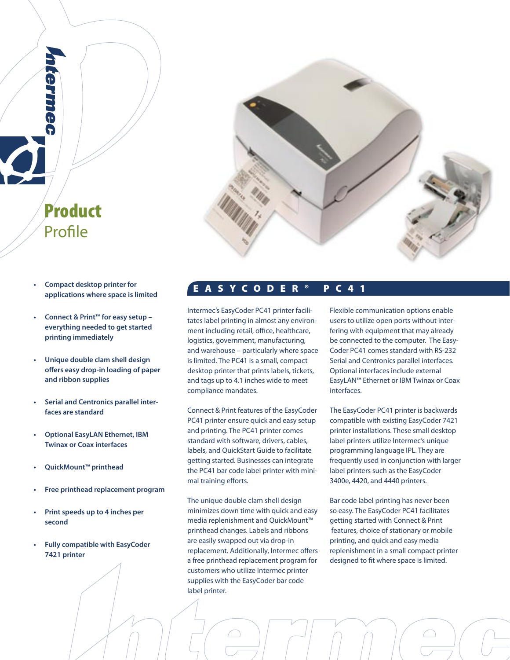

 **applications where space is limited**

Product

Profile

- **• Connect & Print™ for easy setup everything needed to get started printing immediately**
- **Unique double clam shell design offers easy drop-in loading of paper and ribbon supplies**
- **Serial and Centronics parallel inter faces are standard**
- **Optional EasyLAN Ethernet, IBM Twinax or Coax interfaces**
- **QuickMount™ printhead**
- **Free printhead replacement program**
- **Print speeds up to 4 inches per second**
- **Fully compatible with EasyCoder 7421 printer**

# E A S Y C O D E R ® P C 4 1 **• Compact desktop printer for**

Intermec's EasyCoder PC41 printer facilitates label printing in almost any environment including retail, office, healthcare, logistics, government, manufacturing, and warehouse – particularly where space is limited. The PC41 is a small, compact desktop printer that prints labels, tickets, and tags up to 4.1 inches wide to meet compliance mandates.

Connect & Print features of the EasyCoder PC41 printer ensure quick and easy setup and printing. The PC41 printer comes standard with software, drivers, cables, labels, and QuickStart Guide to facilitate getting started. Businesses can integrate the PC41 bar code label printer with minimal training efforts.

The unique double clam shell design minimizes down time with quick and easy media replenishment and QuickMount™ printhead changes. Labels and ribbons are easily swapped out via drop-in replacement. Additionally, Intermec offers a free printhead replacement program for customers who utilize Intermec printer supplies with the EasyCoder bar code label printer.

Flexible communication options enable users to utilize open ports without interfering with equipment that may already be connected to the computer. The Easy-Coder PC41 comes standard with RS-232 Serial and Centronics parallel interfaces. Optional interfaces include external EasyLAN™ Ethernet or IBM Twinax or Coax interfaces.

The EasyCoder PC41 printer is backwards compatible with existing EasyCoder 7421 printer installations. These small desktop label printers utilize Intermec's unique programming language IPL. They are frequently used in conjunction with larger label printers such as the EasyCoder 3400e, 4420, and 4440 printers.

Bar code label printing has never been so easy. The EasyCoder PC41 facilitates getting started with Connect & Print features, choice of stationary or mobile printing, and quick and easy media replenishment in a small compact printer designed to fit where space is limited.